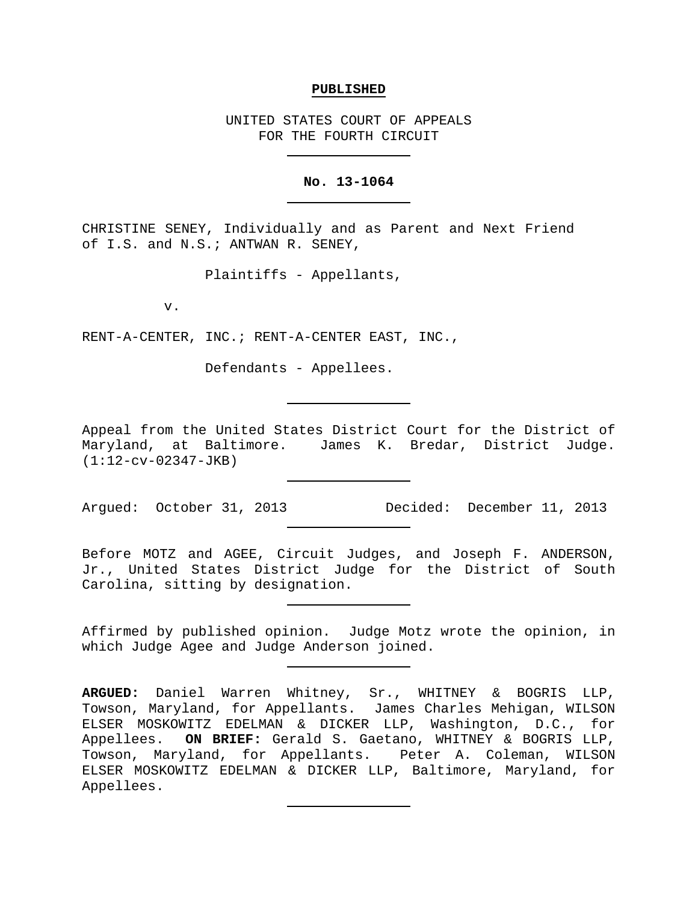### **PUBLISHED**

UNITED STATES COURT OF APPEALS FOR THE FOURTH CIRCUIT

# **No. 13-1064**

CHRISTINE SENEY, Individually and as Parent and Next Friend of I.S. and N.S.; ANTWAN R. SENEY,

Plaintiffs - Appellants,

v.

RENT-A-CENTER, INC.; RENT-A-CENTER EAST, INC.,

Defendants - Appellees.

Appeal from the United States District Court for the District of Maryland, at Baltimore. James K. Bredar, District Judge. (1:12-cv-02347-JKB)

Argued: October 31, 2013 Decided: December 11, 2013

Before MOTZ and AGEE, Circuit Judges, and Joseph F. ANDERSON, Jr., United States District Judge for the District of South Carolina, sitting by designation.

Affirmed by published opinion. Judge Motz wrote the opinion, in which Judge Agee and Judge Anderson joined.

**ARGUED:** Daniel Warren Whitney, Sr., WHITNEY & BOGRIS LLP, Towson, Maryland, for Appellants. James Charles Mehigan, WILSON ELSER MOSKOWITZ EDELMAN & DICKER LLP, Washington, D.C., for Appellees. **ON BRIEF:** Gerald S. Gaetano, WHITNEY & BOGRIS LLP, Towson, Maryland, for Appellants. Peter A. Coleman, WILSON ELSER MOSKOWITZ EDELMAN & DICKER LLP, Baltimore, Maryland, for Appellees.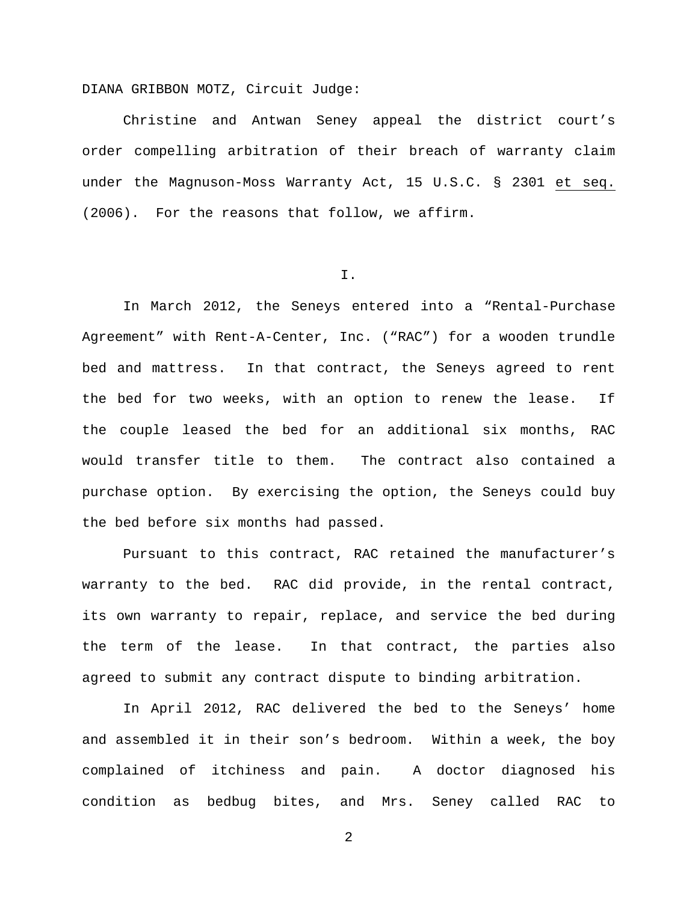DIANA GRIBBON MOTZ, Circuit Judge:

Christine and Antwan Seney appeal the district court's order compelling arbitration of their breach of warranty claim under the Magnuson-Moss Warranty Act, 15 U.S.C. § 2301 et seq. (2006). For the reasons that follow, we affirm.

I.

In March 2012, the Seneys entered into a "Rental-Purchase Agreement" with Rent-A-Center, Inc. ("RAC") for a wooden trundle bed and mattress. In that contract, the Seneys agreed to rent the bed for two weeks, with an option to renew the lease. If the couple leased the bed for an additional six months, RAC would transfer title to them. The contract also contained a purchase option. By exercising the option, the Seneys could buy the bed before six months had passed.

Pursuant to this contract, RAC retained the manufacturer's warranty to the bed. RAC did provide, in the rental contract, its own warranty to repair, replace, and service the bed during the term of the lease. In that contract, the parties also agreed to submit any contract dispute to binding arbitration.

In April 2012, RAC delivered the bed to the Seneys' home and assembled it in their son's bedroom. Within a week, the boy complained of itchiness and pain. A doctor diagnosed his condition as bedbug bites, and Mrs. Seney called RAC to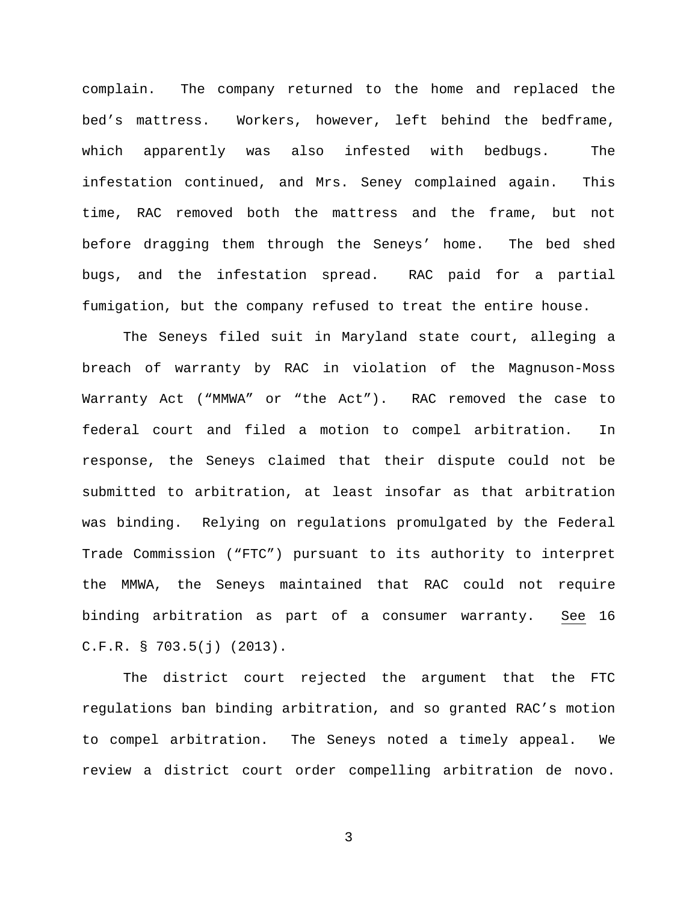complain. The company returned to the home and replaced the bed's mattress. Workers, however, left behind the bedframe, which apparently was also infested with bedbugs. The infestation continued, and Mrs. Seney complained again. This time, RAC removed both the mattress and the frame, but not before dragging them through the Seneys' home. The bed shed bugs, and the infestation spread. RAC paid for a partial fumigation, but the company refused to treat the entire house.

The Seneys filed suit in Maryland state court, alleging a breach of warranty by RAC in violation of the Magnuson-Moss Warranty Act ("MMWA" or "the Act"). RAC removed the case to federal court and filed a motion to compel arbitration. In response, the Seneys claimed that their dispute could not be submitted to arbitration, at least insofar as that arbitration was binding. Relying on regulations promulgated by the Federal Trade Commission ("FTC") pursuant to its authority to interpret the MMWA, the Seneys maintained that RAC could not require binding arbitration as part of a consumer warranty. See 16 C.F.R. § 703.5(j) (2013).

The district court rejected the argument that the FTC regulations ban binding arbitration, and so granted RAC's motion to compel arbitration. The Seneys noted a timely appeal. We review a district court order compelling arbitration de novo.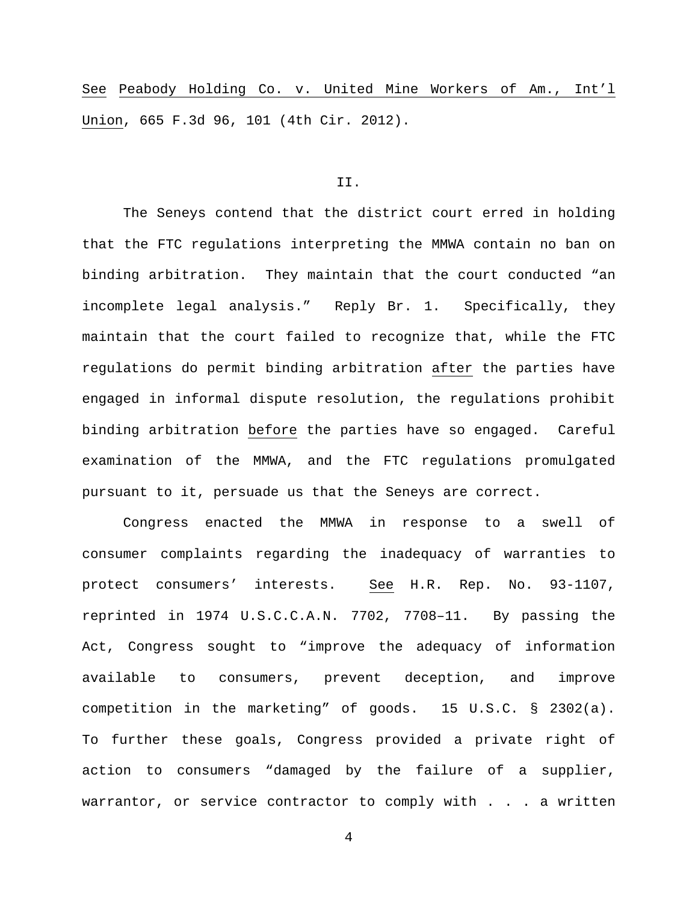See Peabody Holding Co. v. United Mine Workers of Am., Int'l Union, 665 F.3d 96, 101 (4th Cir. 2012).

# II.

The Seneys contend that the district court erred in holding that the FTC regulations interpreting the MMWA contain no ban on binding arbitration. They maintain that the court conducted "an incomplete legal analysis." Reply Br. 1. Specifically, they maintain that the court failed to recognize that, while the FTC regulations do permit binding arbitration after the parties have engaged in informal dispute resolution, the regulations prohibit binding arbitration before the parties have so engaged. Careful examination of the MMWA, and the FTC regulations promulgated pursuant to it, persuade us that the Seneys are correct.

Congress enacted the MMWA in response to a swell of consumer complaints regarding the inadequacy of warranties to protect consumers' interests. See H.R. Rep. No. 93-1107, reprinted in 1974 U.S.C.C.A.N. 7702, 7708–11. By passing the Act, Congress sought to "improve the adequacy of information available to consumers, prevent deception, and improve competition in the marketing" of goods. 15 U.S.C. § 2302(a). To further these goals, Congress provided a private right of action to consumers "damaged by the failure of a supplier, warrantor, or service contractor to comply with . . . a written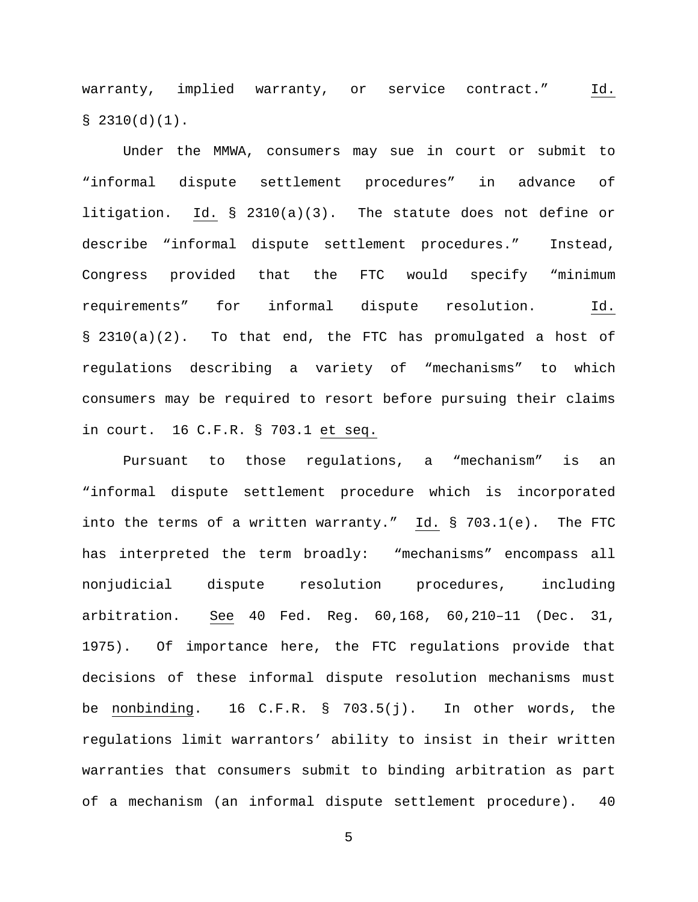warranty, implied warranty, or service contract." Id.  $$ 2310(d)(1)$ .

Under the MMWA, consumers may sue in court or submit to "informal dispute settlement procedures" in advance of litigation. Id. § 2310(a)(3). The statute does not define or describe "informal dispute settlement procedures." Instead, Congress provided that the FTC would specify "minimum requirements" for informal dispute resolution. Id. § 2310(a)(2). To that end, the FTC has promulgated a host of regulations describing a variety of "mechanisms" to which consumers may be required to resort before pursuing their claims in court. 16 C.F.R. § 703.1 et seq.

Pursuant to those regulations, a "mechanism" is an "informal dispute settlement procedure which is incorporated into the terms of a written warranty." Id. § 703.1(e). The FTC has interpreted the term broadly: "mechanisms" encompass all nonjudicial dispute resolution procedures, including arbitration. See 40 Fed. Reg. 60,168, 60,210–11 (Dec. 31, 1975). Of importance here, the FTC regulations provide that decisions of these informal dispute resolution mechanisms must be nonbinding. 16 C.F.R. § 703.5(j). In other words, the regulations limit warrantors' ability to insist in their written warranties that consumers submit to binding arbitration as part of a mechanism (an informal dispute settlement procedure). 40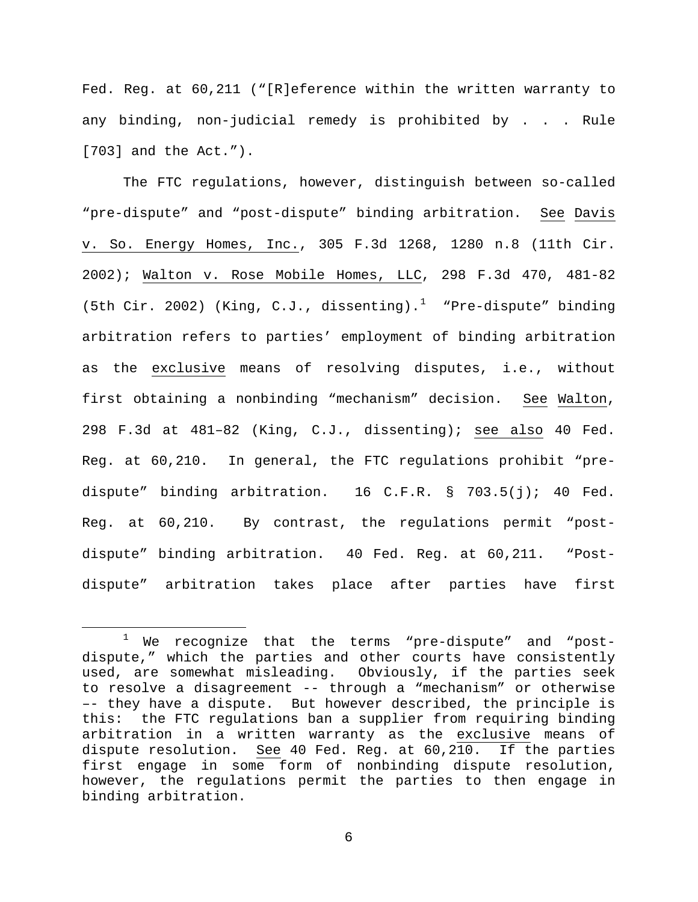Fed. Reg. at 60,211 ("[R]eference within the written warranty to any binding, non-judicial remedy is prohibited by . . . Rule [703] and the Act.").

The FTC regulations, however, distinguish between so-called "pre-dispute" and "post-dispute" binding arbitration. See Davis v. So. Energy Homes, Inc., 305 F.3d 1268, 1280 n.8 (11th Cir. 2002); Walton v. Rose Mobile Homes, LLC, 298 F.3d 470, 481-82 (5th Cir. 2002) (King, C.J., dissenting).<sup>[1](#page-5-0)</sup> "Pre-dispute" binding arbitration refers to parties' employment of binding arbitration as the exclusive means of resolving disputes, i.e., without first obtaining a nonbinding "mechanism" decision. See Walton, 298 F.3d at 481–82 (King, C.J., dissenting); see also 40 Fed. Reg. at 60,210. In general, the FTC regulations prohibit "predispute" binding arbitration. 16 C.F.R. § 703.5(j); 40 Fed. Reg. at 60,210. By contrast, the regulations permit "postdispute" binding arbitration. 40 Fed. Reg. at 60,211. "Postdispute" arbitration takes place after parties have first

<span id="page-5-0"></span> <sup>1</sup> We recognize that the terms "pre-dispute" and "postdispute," which the parties and other courts have consistently used, are somewhat misleading. Obviously, if the parties seek to resolve a disagreement -- through a "mechanism" or otherwise –- they have a dispute. But however described, the principle is this: the FTC regulations ban a supplier from requiring binding arbitration in a written warranty as the exclusive means of dispute resolution. See 40 Fed. Reg. at 60,210. If the parties first engage in some form of nonbinding dispute resolution, however, the regulations permit the parties to then engage in binding arbitration.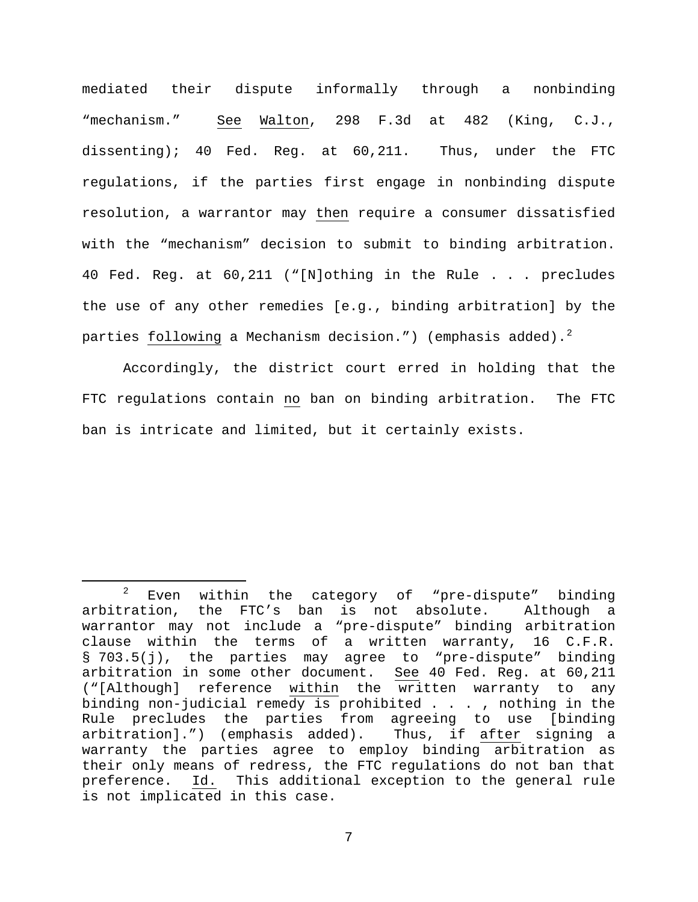mediated their dispute informally through a nonbinding "mechanism." See Walton, 298 F.3d at 482 (King, C.J., dissenting); 40 Fed. Reg. at 60,211. Thus, under the FTC regulations, if the parties first engage in nonbinding dispute resolution, a warrantor may then require a consumer dissatisfied with the "mechanism" decision to submit to binding arbitration. 40 Fed. Reg. at 60,211 ("[N]othing in the Rule . . . precludes the use of any other remedies [e.g., binding arbitration] by the parties following a Mechanism decision.") (emphasis added). $^2$  $^2$ 

Accordingly, the district court erred in holding that the FTC regulations contain no ban on binding arbitration. The FTC ban is intricate and limited, but it certainly exists.

<span id="page-6-0"></span> $2$  Even within the category of "pre-dispute" binding arbitration, the FTC's ban is not absolute. Although a warrantor may not include a "pre-dispute" binding arbitration clause within the terms of a written warranty, 16 C.F.R. § 703.5(j), the parties may agree to "pre-dispute" binding arbitration in some other document. See 40 Fed. Reg. at 60,211 ("[Although] reference within the written warranty to any binding non-judicial remedy is prohibited . . . , nothing in the Rule precludes the parties from agreeing to use [binding<br>arbitration].") (emphasis added). Thus, if after signing a arbitration].") (emphasis added). warranty the parties agree to employ binding arbitration as their only means of redress, the FTC regulations do not ban that<br>preference. Id. This additional exception to the general rule preference. Id. This additional exception to the general rule is not implicated in this case.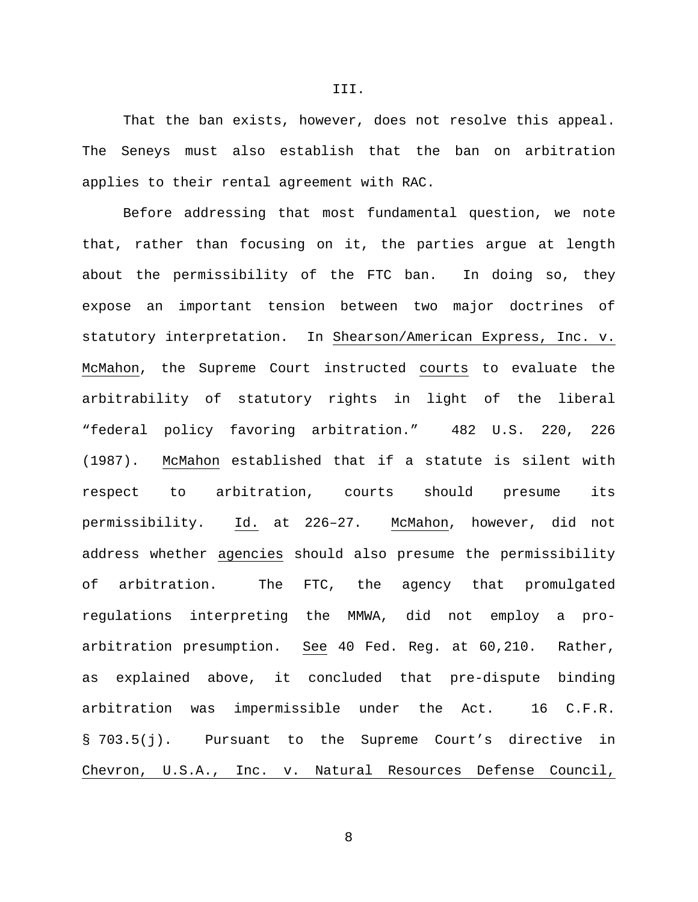That the ban exists, however, does not resolve this appeal. The Seneys must also establish that the ban on arbitration applies to their rental agreement with RAC.

Before addressing that most fundamental question, we note that, rather than focusing on it, the parties argue at length about the permissibility of the FTC ban. In doing so, they expose an important tension between two major doctrines of statutory interpretation. In Shearson/American Express, Inc. v. McMahon, the Supreme Court instructed courts to evaluate the arbitrability of statutory rights in light of the liberal "federal policy favoring arbitration." 482 U.S. 220, 226 (1987). McMahon established that if a statute is silent with respect to arbitration, courts should presume its permissibility. Id. at 226–27. McMahon, however, did not address whether agencies should also presume the permissibility of arbitration. The FTC, the agency that promulgated regulations interpreting the MMWA, did not employ a proarbitration presumption. See 40 Fed. Reg. at 60,210. Rather, as explained above, it concluded that pre-dispute binding arbitration was impermissible under the Act. 16 C.F.R. § 703.5(j). Pursuant to the Supreme Court's directive in Chevron, U.S.A., Inc. v. Natural Resources Defense Council,

III.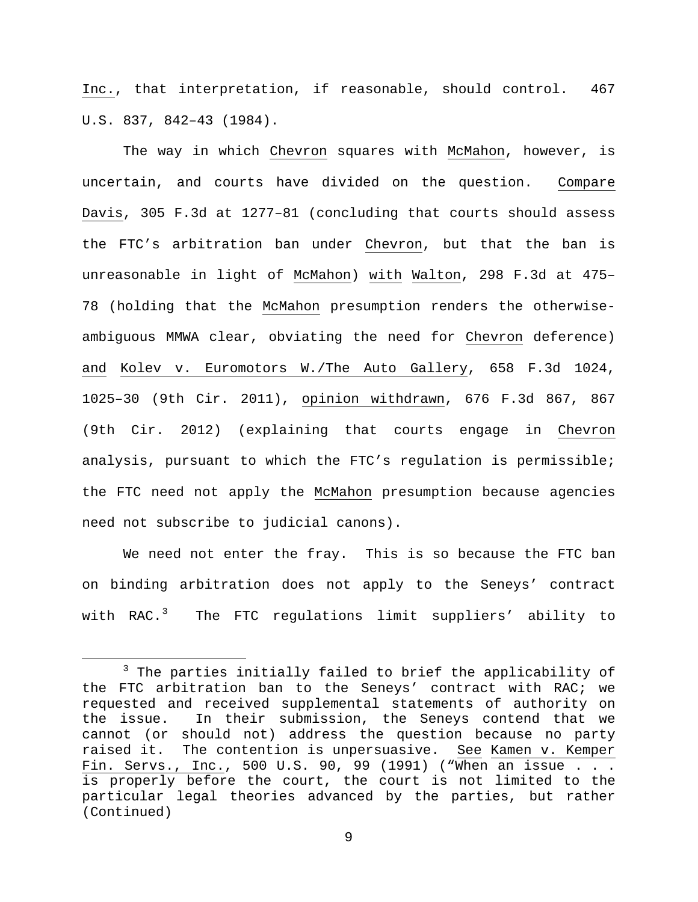Inc., that interpretation, if reasonable, should control. 467 U.S. 837, 842–43 (1984).

The way in which Chevron squares with McMahon, however, is uncertain, and courts have divided on the question. Compare Davis, 305 F.3d at 1277–81 (concluding that courts should assess the FTC's arbitration ban under Chevron, but that the ban is unreasonable in light of McMahon) with Walton, 298 F.3d at 475– 78 (holding that the McMahon presumption renders the otherwiseambiguous MMWA clear, obviating the need for Chevron deference) and Kolev v. Euromotors W./The Auto Gallery, 658 F.3d 1024, 1025–30 (9th Cir. 2011), opinion withdrawn, 676 F.3d 867, 867 (9th Cir. 2012) (explaining that courts engage in Chevron analysis, pursuant to which the FTC's regulation is permissible; the FTC need not apply the McMahon presumption because agencies need not subscribe to judicial canons).

We need not enter the fray. This is so because the FTC ban on binding arbitration does not apply to the Seneys' contract with RAC.<sup>[3](#page-8-0)</sup> The FTC regulations limit suppliers' ability to

<span id="page-8-0"></span><sup>&</sup>lt;sup>3</sup> The parties initially failed to brief the applicability of the FTC arbitration ban to the Seneys' contract with RAC; we requested and received supplemental statements of authority on<br>the issue. In their submission, the Seneys contend that we In their submission, the Seneys contend that we cannot (or should not) address the question because no party raised it. The contention is unpersuasive. See Kamen v. Kemper Fin. Servs., Inc., 500 U.S. 90, 99 (1991) ("When an issue . . . is properly before the court, the court is not limited to the particular legal theories advanced by the parties, but rather (Continued)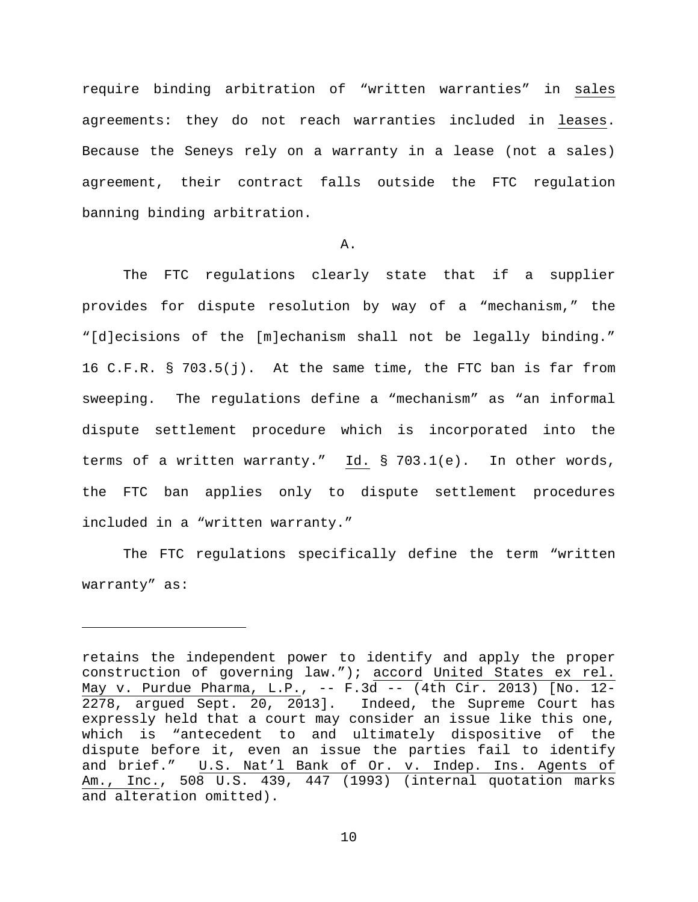require binding arbitration of "written warranties" in sales agreements: they do not reach warranties included in leases. Because the Seneys rely on a warranty in a lease (not a sales) agreement, their contract falls outside the FTC regulation banning binding arbitration.

# A.

The FTC regulations clearly state that if a supplier provides for dispute resolution by way of a "mechanism," the "[d]ecisions of the [m]echanism shall not be legally binding." 16 C.F.R. § 703.5(j). At the same time, the FTC ban is far from sweeping. The regulations define a "mechanism" as "an informal dispute settlement procedure which is incorporated into the terms of a written warranty." Id. § 703.1(e). In other words, the FTC ban applies only to dispute settlement procedures included in a "written warranty."

The FTC regulations specifically define the term "written warranty" as:

ī

retains the independent power to identify and apply the proper construction of governing law."); accord United States ex rel. May v. Purdue Pharma, L.P., -- F.3d -- (4th Cir. 2013) [No. 12- 2278, argued Sept. 20, 2013]. Indeed, the Supreme Court has expressly held that a court may consider an issue like this one, which is "antecedent to and ultimately dispositive of the dispute before it, even an issue the parties fail to identify and brief." U.S. Nat'l Bank of Or. v. Indep. Ins. Agents of Am., Inc., 508 U.S. 439, 447 (1993) (internal quotation marks and alteration omitted).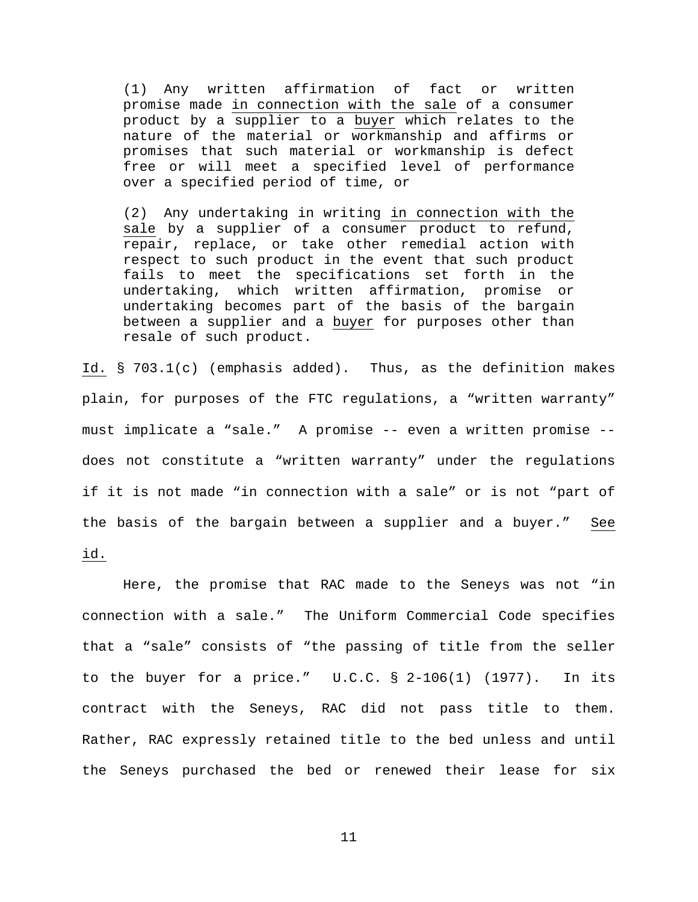(1) Any written affirmation of fact or written promise made in connection with the sale of a consumer product by a supplier to a buyer which relates to the nature of the material or workmanship and affirms or promises that such material or workmanship is defect free or will meet a specified level of performance over a specified period of time, or

(2) Any undertaking in writing in connection with the sale by a supplier of a consumer product to refund, repair, replace, or take other remedial action with respect to such product in the event that such product fails to meet the specifications set forth in the undertaking, which written affirmation, promise or undertaking becomes part of the basis of the bargain between a supplier and a buyer for purposes other than resale of such product.

Id. § 703.1(c) (emphasis added). Thus, as the definition makes plain, for purposes of the FTC regulations, a "written warranty" must implicate a "sale." A promise -- even a written promise - does not constitute a "written warranty" under the regulations if it is not made "in connection with a sale" or is not "part of the basis of the bargain between a supplier and a buyer." See id.

Here, the promise that RAC made to the Seneys was not "in connection with a sale." The Uniform Commercial Code specifies that a "sale" consists of "the passing of title from the seller to the buyer for a price." U.C.C. § 2-106(1) (1977). In its contract with the Seneys, RAC did not pass title to them. Rather, RAC expressly retained title to the bed unless and until the Seneys purchased the bed or renewed their lease for six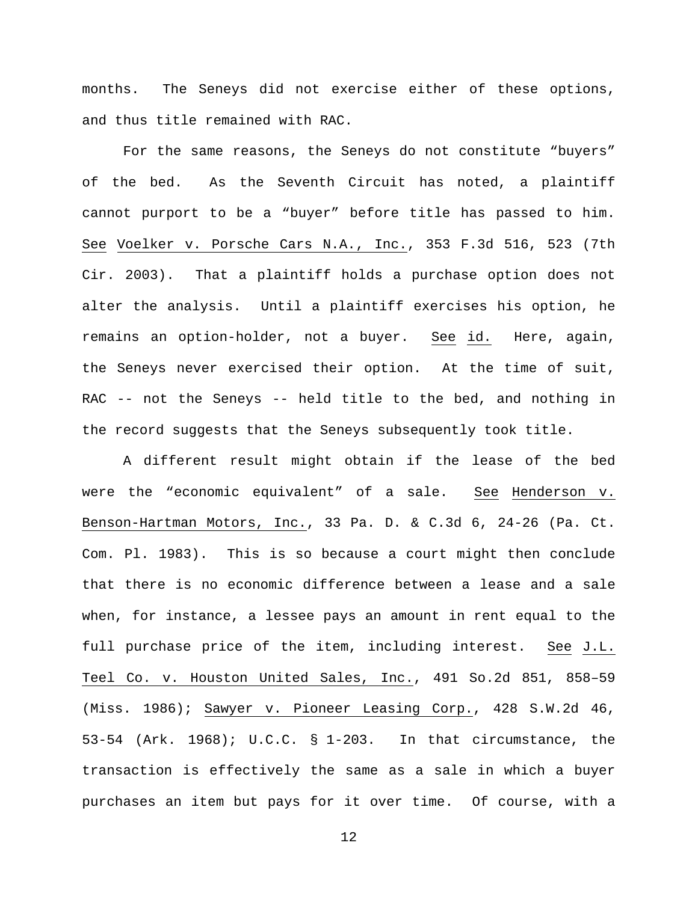months. The Seneys did not exercise either of these options, and thus title remained with RAC.

For the same reasons, the Seneys do not constitute "buyers" of the bed. As the Seventh Circuit has noted, a plaintiff cannot purport to be a "buyer" before title has passed to him. See Voelker v. Porsche Cars N.A., Inc., 353 F.3d 516, 523 (7th Cir. 2003). That a plaintiff holds a purchase option does not alter the analysis. Until a plaintiff exercises his option, he remains an option-holder, not a buyer. See id. Here, again, the Seneys never exercised their option. At the time of suit, RAC -- not the Seneys -- held title to the bed, and nothing in the record suggests that the Seneys subsequently took title.

A different result might obtain if the lease of the bed were the "economic equivalent" of a sale. See Henderson v. Benson-Hartman Motors, Inc., 33 Pa. D. & C.3d 6, 24-26 (Pa. Ct. Com. Pl. 1983). This is so because a court might then conclude that there is no economic difference between a lease and a sale when, for instance, a lessee pays an amount in rent equal to the full purchase price of the item, including interest. See J.L. Teel Co. v. Houston United Sales, Inc., 491 So.2d 851, 858–59 (Miss. 1986); Sawyer v. Pioneer Leasing Corp., 428 S.W.2d 46, 53-54 (Ark. 1968); U.C.C. § 1-203. In that circumstance, the transaction is effectively the same as a sale in which a buyer purchases an item but pays for it over time. Of course, with a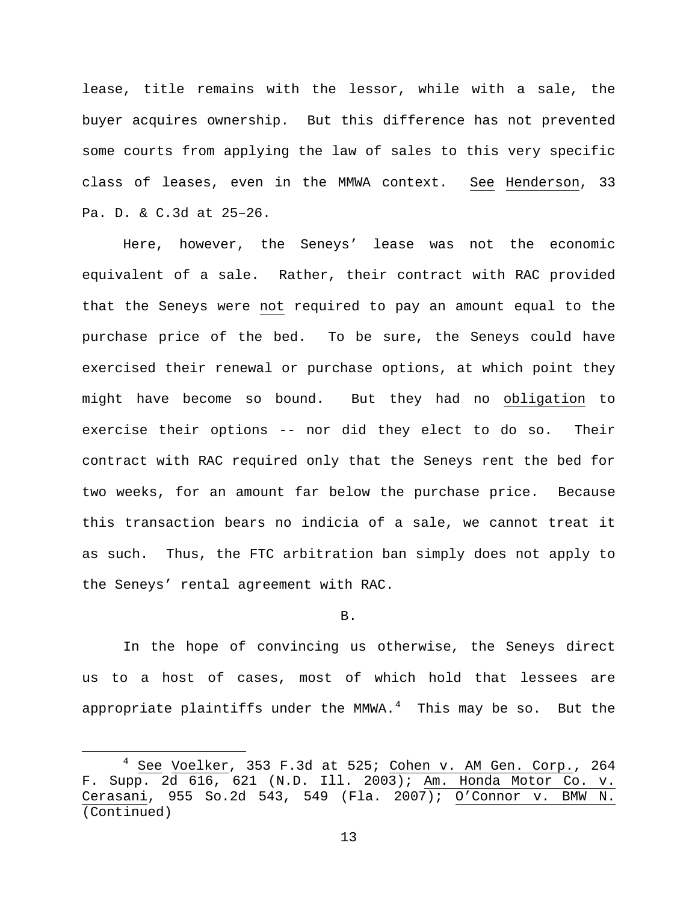lease, title remains with the lessor, while with a sale, the buyer acquires ownership. But this difference has not prevented some courts from applying the law of sales to this very specific class of leases, even in the MMWA context. See Henderson, 33 Pa. D. & C.3d at 25–26.

Here, however, the Seneys' lease was not the economic equivalent of a sale. Rather, their contract with RAC provided that the Seneys were not required to pay an amount equal to the purchase price of the bed. To be sure, the Seneys could have exercised their renewal or purchase options, at which point they might have become so bound. But they had no obligation to exercise their options -- nor did they elect to do so. Their contract with RAC required only that the Seneys rent the bed for two weeks, for an amount far below the purchase price. Because this transaction bears no indicia of a sale, we cannot treat it as such. Thus, the FTC arbitration ban simply does not apply to the Seneys' rental agreement with RAC.

## B.

In the hope of convincing us otherwise, the Seneys direct us to a host of cases, most of which hold that lessees are appropriate plaintiffs under the MMWA. $^4$  $^4$  This may be so. But the

<span id="page-12-0"></span> $4$  See Voelker, 353 F.3d at 525; Cohen v. AM Gen. Corp., 264 F. Supp. 2d 616, 621 (N.D. Ill. 2003); Am. Honda Motor Co. v.<br>Cerasani, 955 So.2d 543, 549 (Fla. 2007); O'Connor v. BMW N. Cerasani, 955 So.2d 543, 549 (Fla. 2007); O'Connor v. BMW (Continued)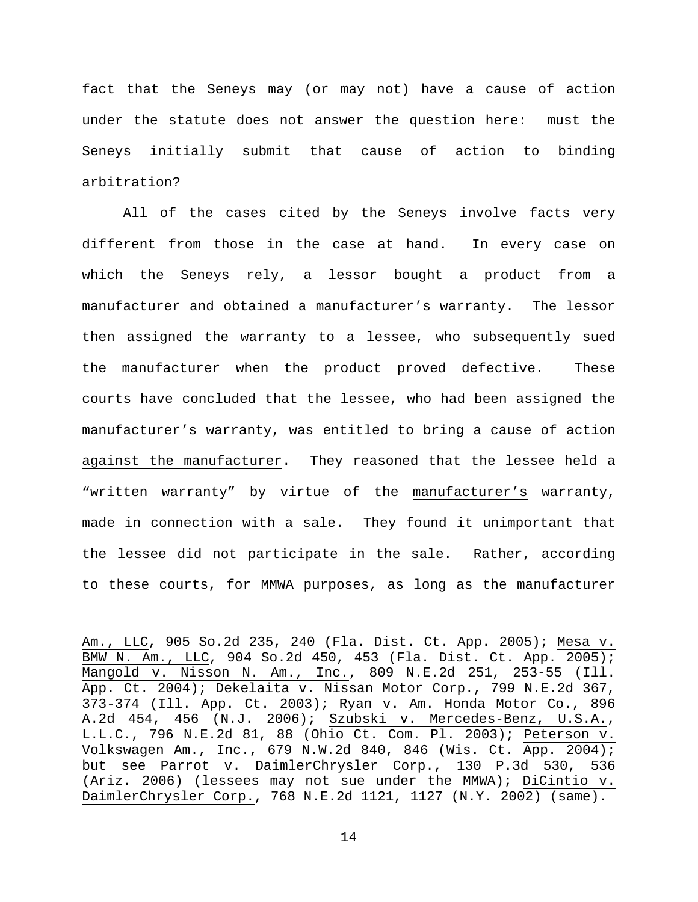fact that the Seneys may (or may not) have a cause of action under the statute does not answer the question here: must the Seneys initially submit that cause of action to binding arbitration?

All of the cases cited by the Seneys involve facts very different from those in the case at hand. In every case on which the Seneys rely, a lessor bought a product from a manufacturer and obtained a manufacturer's warranty. The lessor then assigned the warranty to a lessee, who subsequently sued the manufacturer when the product proved defective. These courts have concluded that the lessee, who had been assigned the manufacturer's warranty, was entitled to bring a cause of action against the manufacturer. They reasoned that the lessee held a "written warranty" by virtue of the manufacturer's warranty, made in connection with a sale. They found it unimportant that the lessee did not participate in the sale. Rather, according to these courts, for MMWA purposes, as long as the manufacturer

Ĩ.

Am., LLC, 905 So.2d 235, 240 (Fla. Dist. Ct. App. 2005); Mesa v. BMW N. Am., LLC, 904 So.2d 450, 453 (Fla. Dist. Ct. App. 2005); Mangold v. Nisson N. Am., Inc., 809 N.E.2d 251, 253-55 (Ill. App. Ct. 2004); Dekelaita v. Nissan Motor Corp., 799 N.E.2d 367, 373-374 (Ill. App. Ct. 2003); Ryan v. Am. Honda Motor Co., 896 A.2d 454, 456 (N.J. 2006); Szubski v. Mercedes-Benz, U.S.A., L.L.C., 796 N.E.2d 81, 88 (Ohio Ct. Com. Pl. 2003); Peterson v. Volkswagen Am., Inc., 679 N.W.2d 840, 846 (Wis. Ct. App. 2004); but see Parrot v. DaimlerChrysler Corp., 130 P.3d 530, 536 (Ariz. 2006) (lessees may not sue under the MMWA); DiCintio v. DaimlerChrysler Corp., 768 N.E.2d 1121, 1127 (N.Y. 2002) (same).